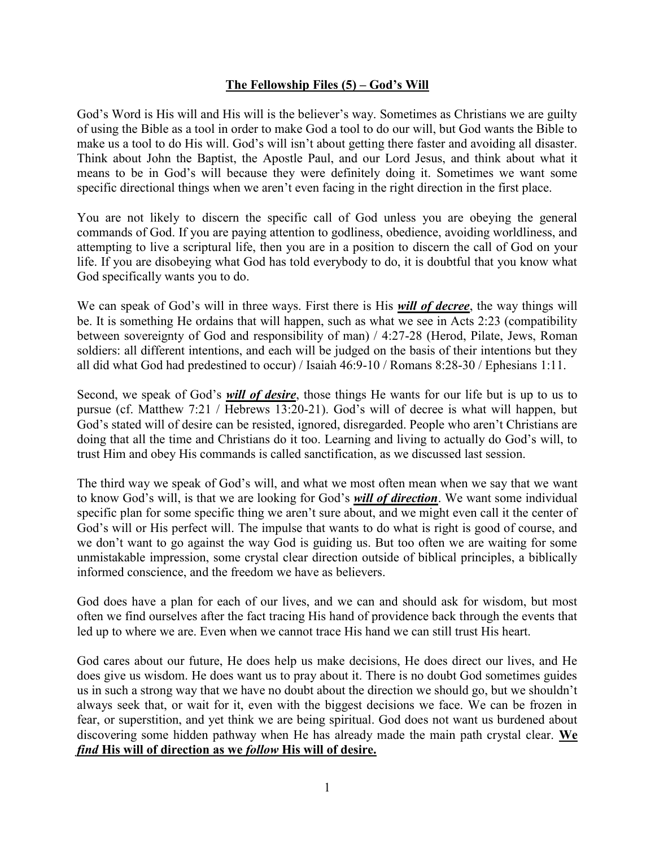### **The Fellowship Files (5) – God's Will**

God's Word is His will and His will is the believer's way. Sometimes as Christians we are guilty of using the Bible as a tool in order to make God a tool to do our will, but God wants the Bible to make us a tool to do His will. God's will isn't about getting there faster and avoiding all disaster. Think about John the Baptist, the Apostle Paul, and our Lord Jesus, and think about what it means to be in God's will because they were definitely doing it. Sometimes we want some specific directional things when we aren't even facing in the right direction in the first place.

You are not likely to discern the specific call of God unless you are obeying the general commands of God. If you are paying attention to godliness, obedience, avoiding worldliness, and attempting to live a scriptural life, then you are in a position to discern the call of God on your life. If you are disobeying what God has told everybody to do, it is doubtful that you know what God specifically wants you to do.

We can speak of God's will in three ways. First there is His *will of decree*, the way things will be. It is something He ordains that will happen, such as what we see in Acts 2:23 (compatibility between sovereignty of God and responsibility of man) / 4:27-28 (Herod, Pilate, Jews, Roman soldiers: all different intentions, and each will be judged on the basis of their intentions but they all did what God had predestined to occur) / Isaiah 46:9-10 / Romans 8:28-30 / Ephesians 1:11.

Second, we speak of God's *will of desire*, those things He wants for our life but is up to us to pursue (cf. Matthew 7:21 / Hebrews 13:20-21). God's will of decree is what will happen, but God's stated will of desire can be resisted, ignored, disregarded. People who aren't Christians are doing that all the time and Christians do it too. Learning and living to actually do God's will, to trust Him and obey His commands is called sanctification, as we discussed last session.

The third way we speak of God's will, and what we most often mean when we say that we want to know God's will, is that we are looking for God's *will of direction*. We want some individual specific plan for some specific thing we aren't sure about, and we might even call it the center of God's will or His perfect will. The impulse that wants to do what is right is good of course, and we don't want to go against the way God is guiding us. But too often we are waiting for some unmistakable impression, some crystal clear direction outside of biblical principles, a biblically informed conscience, and the freedom we have as believers.

God does have a plan for each of our lives, and we can and should ask for wisdom, but most often we find ourselves after the fact tracing His hand of providence back through the events that led up to where we are. Even when we cannot trace His hand we can still trust His heart.

God cares about our future, He does help us make decisions, He does direct our lives, and He does give us wisdom. He does want us to pray about it. There is no doubt God sometimes guides us in such a strong way that we have no doubt about the direction we should go, but we shouldn't always seek that, or wait for it, even with the biggest decisions we face. We can be frozen in fear, or superstition, and yet think we are being spiritual. God does not want us burdened about discovering some hidden pathway when He has already made the main path crystal clear. **We**  *find* **His will of direction as we** *follow* **His will of desire.**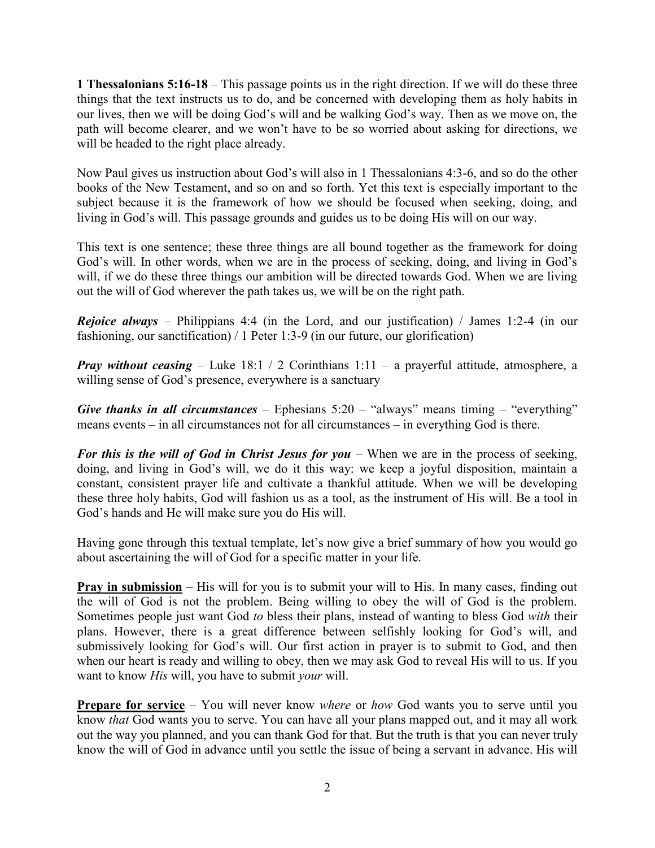**1 Thessalonians 5:16-18** – This passage points us in the right direction. If we will do these three things that the text instructs us to do, and be concerned with developing them as holy habits in our lives, then we will be doing God's will and be walking God's way. Then as we move on, the path will become clearer, and we won't have to be so worried about asking for directions, we will be headed to the right place already.

Now Paul gives us instruction about God's will also in 1 Thessalonians 4:3-6, and so do the other books of the New Testament, and so on and so forth. Yet this text is especially important to the subject because it is the framework of how we should be focused when seeking, doing, and living in God's will. This passage grounds and guides us to be doing His will on our way.

This text is one sentence; these three things are all bound together as the framework for doing God's will. In other words, when we are in the process of seeking, doing, and living in God's will, if we do these three things our ambition will be directed towards God. When we are living out the will of God wherever the path takes us, we will be on the right path.

*Rejoice always* – Philippians 4:4 (in the Lord, and our justification) / James 1:2-4 (in our fashioning, our sanctification) / 1 Peter 1:3-9 (in our future, our glorification)

*Pray without ceasing* – Luke 18:1 / 2 Corinthians 1:11 – a prayerful attitude, atmosphere, a willing sense of God's presence, everywhere is a sanctuary

*Give thanks in all circumstances* – Ephesians  $5:20$  – "always" means timing – "everything" means events – in all circumstances not for all circumstances – in everything God is there.

*For this is the will of God in Christ Jesus for you* – When we are in the process of seeking, doing, and living in God's will, we do it this way: we keep a joyful disposition, maintain a constant, consistent prayer life and cultivate a thankful attitude. When we will be developing these three holy habits, God will fashion us as a tool, as the instrument of His will. Be a tool in God's hands and He will make sure you do His will.

Having gone through this textual template, let's now give a brief summary of how you would go about ascertaining the will of God for a specific matter in your life.

**Pray in submission** – His will for you is to submit your will to His. In many cases, finding out the will of God is not the problem. Being willing to obey the will of God is the problem. Sometimes people just want God *to* bless their plans, instead of wanting to bless God *with* their plans. However, there is a great difference between selfishly looking for God's will, and submissively looking for God's will. Our first action in prayer is to submit to God, and then when our heart is ready and willing to obey, then we may ask God to reveal His will to us. If you want to know *His* will, you have to submit *your* will.

**Prepare for service** – You will never know *where* or *how* God wants you to serve until you know *that* God wants you to serve. You can have all your plans mapped out, and it may all work out the way you planned, and you can thank God for that. But the truth is that you can never truly know the will of God in advance until you settle the issue of being a servant in advance. His will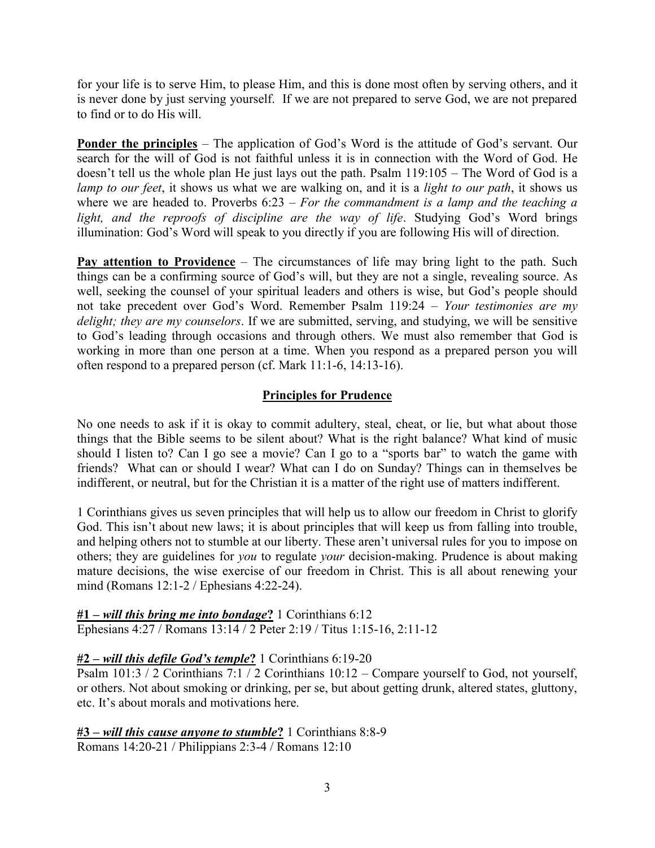for your life is to serve Him, to please Him, and this is done most often by serving others, and it is never done by just serving yourself. If we are not prepared to serve God, we are not prepared to find or to do His will.

**Ponder the principles** – The application of God's Word is the attitude of God's servant. Our search for the will of God is not faithful unless it is in connection with the Word of God. He doesn't tell us the whole plan He just lays out the path. Psalm 119:105 – The Word of God is a *lamp to our feet*, it shows us what we are walking on, and it is a *light to our path*, it shows us where we are headed to. Proverbs 6:23 – *For the commandment is a lamp and the teaching a light, and the reproofs of discipline are the way of life*. Studying God's Word brings illumination: God's Word will speak to you directly if you are following His will of direction.

**Pay attention to Providence** – The circumstances of life may bring light to the path. Such things can be a confirming source of God's will, but they are not a single, revealing source. As well, seeking the counsel of your spiritual leaders and others is wise, but God's people should not take precedent over God's Word. Remember Psalm 119:24 – *Your testimonies are my delight; they are my counselors*. If we are submitted, serving, and studying, we will be sensitive to God's leading through occasions and through others. We must also remember that God is working in more than one person at a time. When you respond as a prepared person you will often respond to a prepared person (cf. Mark 11:1-6, 14:13-16).

# **Principles for Prudence**

No one needs to ask if it is okay to commit adultery, steal, cheat, or lie, but what about those things that the Bible seems to be silent about? What is the right balance? What kind of music should I listen to? Can I go see a movie? Can I go to a "sports bar" to watch the game with friends? What can or should I wear? What can I do on Sunday? Things can in themselves be indifferent, or neutral, but for the Christian it is a matter of the right use of matters indifferent.

1 Corinthians gives us seven principles that will help us to allow our freedom in Christ to glorify God. This isn't about new laws; it is about principles that will keep us from falling into trouble, and helping others not to stumble at our liberty. These aren't universal rules for you to impose on others; they are guidelines for *you* to regulate *your* decision-making. Prudence is about making mature decisions, the wise exercise of our freedom in Christ. This is all about renewing your mind (Romans 12:1-2 / Ephesians 4:22-24).

**#1 –** *will this bring me into bondage***?** 1 Corinthians 6:12 Ephesians 4:27 / Romans 13:14 / 2 Peter 2:19 / Titus 1:15-16, 2:11-12

# **#2 –** *will this defile God's temple***?** 1 Corinthians 6:19-20

Psalm 101:3 / 2 Corinthians 7:1 / 2 Corinthians 10:12 – Compare yourself to God, not yourself, or others. Not about smoking or drinking, per se, but about getting drunk, altered states, gluttony, etc. It's about morals and motivations here.

**#3 –** *will this cause anyone to stumble***?** 1 Corinthians 8:8-9 Romans 14:20-21 / Philippians 2:3-4 / Romans 12:10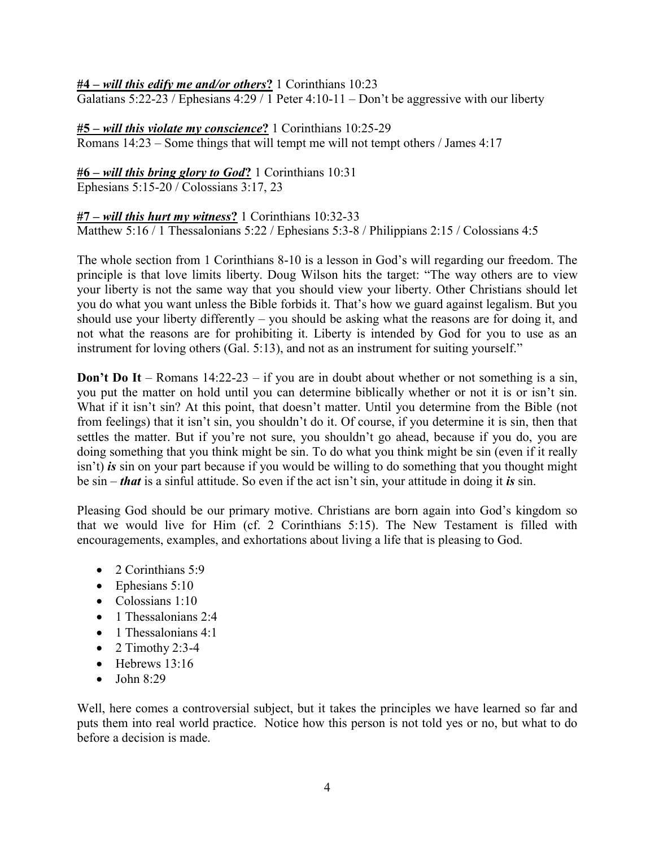#### **#4 –** *will this edify me and/or others***?** 1 Corinthians 10:23

Galatians 5:22-23 / Ephesians 4:29 / 1 Peter 4:10-11 – Don't be aggressive with our liberty

# **#5 –** *will this violate my conscience***?** 1 Corinthians 10:25-29

Romans 14:23 – Some things that will tempt me will not tempt others / James 4:17

### **#6 –** *will this bring glory to God***?** 1 Corinthians 10:31

Ephesians 5:15-20 / Colossians 3:17, 23

### **#7 –** *will this hurt my witness***?** 1 Corinthians 10:32-33

Matthew 5:16 / 1 Thessalonians 5:22 / Ephesians 5:3-8 / Philippians 2:15 / Colossians 4:5

The whole section from 1 Corinthians 8-10 is a lesson in God's will regarding our freedom. The principle is that love limits liberty. Doug Wilson hits the target: "The way others are to view your liberty is not the same way that you should view your liberty. Other Christians should let you do what you want unless the Bible forbids it. That's how we guard against legalism. But you should use your liberty differently – you should be asking what the reasons are for doing it, and not what the reasons are for prohibiting it. Liberty is intended by God for you to use as an instrument for loving others (Gal. 5:13), and not as an instrument for suiting yourself."

**Don't Do It** – Romans 14:22-23 – if you are in doubt about whether or not something is a sin, you put the matter on hold until you can determine biblically whether or not it is or isn't sin. What if it isn't sin? At this point, that doesn't matter. Until you determine from the Bible (not from feelings) that it isn't sin, you shouldn't do it. Of course, if you determine it is sin, then that settles the matter. But if you're not sure, you shouldn't go ahead, because if you do, you are doing something that you think might be sin. To do what you think might be sin (even if it really isn't) *is* sin on your part because if you would be willing to do something that you thought might be sin – *that* is a sinful attitude. So even if the act isn't sin, your attitude in doing it *is* sin.

Pleasing God should be our primary motive. Christians are born again into God's kingdom so that we would live for Him (cf. 2 Corinthians 5:15). The New Testament is filled with encouragements, examples, and exhortations about living a life that is pleasing to God.

- 2 Corinthians 5:9
- $\bullet$  Ephesians 5:10
- Colossians 1:10
- $\bullet$  1 Thessalonians 2:4
- $\bullet$  1 Thessalonians 4:1
- $\bullet$  2 Timothy 2:3-4
- $\bullet$  Hebrews 13:16
- $\bullet$  John 8:29

Well, here comes a controversial subject, but it takes the principles we have learned so far and puts them into real world practice. Notice how this person is not told yes or no, but what to do before a decision is made.